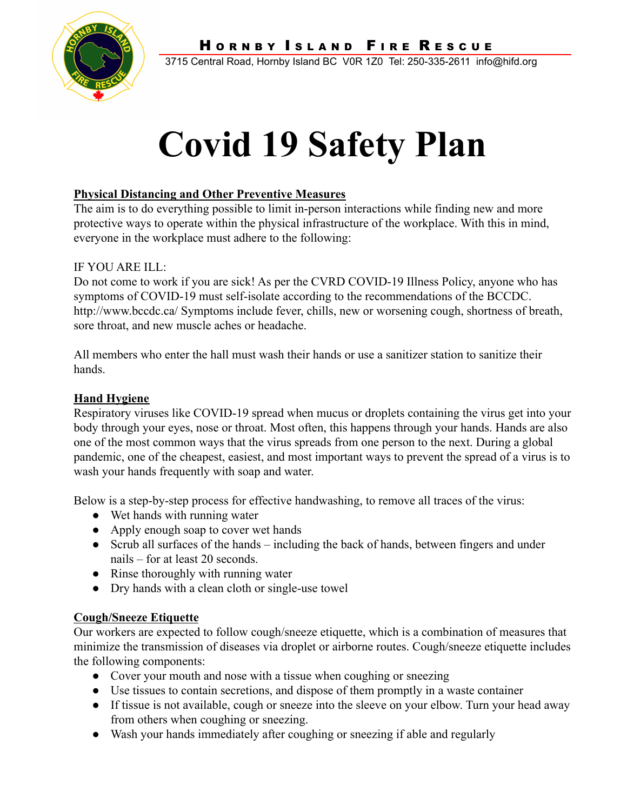



3715 Central Road, Hornby Island BC V0R 1Z0 Tel: 250-335-2611 info@hifd.org

# **Covid 19 Safety Plan**

# **Physical Distancing and Other Preventive Measures**

The aim is to do everything possible to limit in-person interactions while finding new and more protective ways to operate within the physical infrastructure of the workplace. With this in mind, everyone in the workplace must adhere to the following:

# IF YOU ARE ILL:

Do not come to work if you are sick! As per the CVRD COVID-19 Illness Policy, anyone who has symptoms of COVID-19 must self-isolate according to the recommendations of the BCCDC. http://www.bccdc.ca/ Symptoms include fever, chills, new or worsening cough, shortness of breath, sore throat, and new muscle aches or headache.

All members who enter the hall must wash their hands or use a sanitizer station to sanitize their hands.

# **Hand Hygiene**

Respiratory viruses like COVID-19 spread when mucus or droplets containing the virus get into your body through your eyes, nose or throat. Most often, this happens through your hands. Hands are also one of the most common ways that the virus spreads from one person to the next. During a global pandemic, one of the cheapest, easiest, and most important ways to prevent the spread of a virus is to wash your hands frequently with soap and water.

Below is a step-by-step process for effective handwashing, to remove all traces of the virus:

- Wet hands with running water
- Apply enough soap to cover wet hands
- Scrub all surfaces of the hands including the back of hands, between fingers and under nails – for at least 20 seconds.
- Rinse thoroughly with running water
- Dry hands with a clean cloth or single-use towel

# **Cough/Sneeze Etiquette**

Our workers are expected to follow cough/sneeze etiquette, which is a combination of measures that minimize the transmission of diseases via droplet or airborne routes. Cough/sneeze etiquette includes the following components:

- Cover your mouth and nose with a tissue when coughing or sneezing
- Use tissues to contain secretions, and dispose of them promptly in a waste container
- If tissue is not available, cough or sneeze into the sleeve on your elbow. Turn your head away from others when coughing or sneezing.
- Wash your hands immediately after coughing or sneezing if able and regularly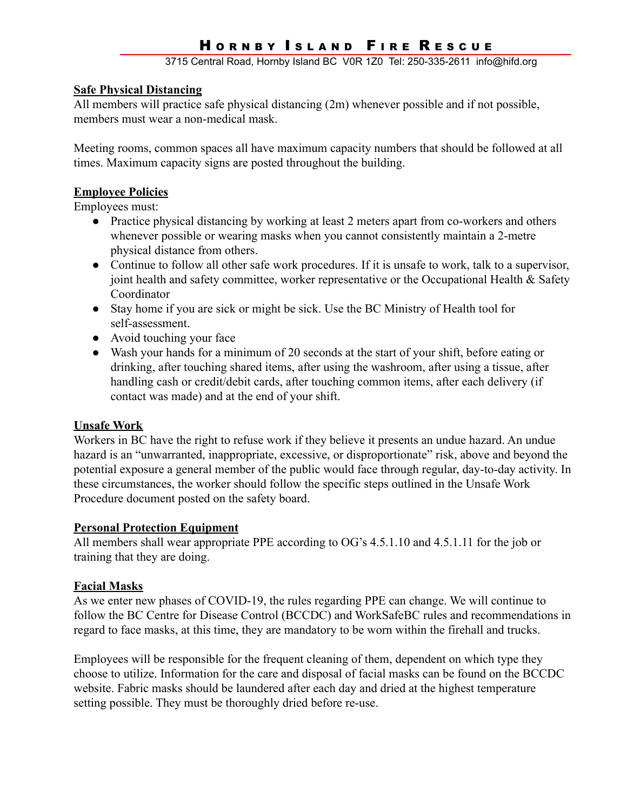# HORNBY ISLAND FIRE RESCUE

3715 Central Road, Hornby Island BC V0R 1Z0 Tel: 250-335-2611 info@hifd.org

#### **Safe Physical Distancing**

All members will practice safe physical distancing (2m) whenever possible and if not possible, members must wear a non-medical mask.

Meeting rooms, common spaces all have maximum capacity numbers that should be followed at all times. Maximum capacity signs are posted throughout the building.

#### **Employee Policies**

Employees must:

- Practice physical distancing by working at least 2 meters apart from co-workers and others whenever possible or wearing masks when you cannot consistently maintain a 2-metre physical distance from others.
- Continue to follow all other safe work procedures. If it is unsafe to work, talk to a supervisor, joint health and safety committee, worker representative or the Occupational Health & Safety Coordinator
- Stay home if you are sick or might be sick. Use the BC Ministry of Health tool for self-assessment.
- Avoid touching your face
- Wash your hands for a minimum of 20 seconds at the start of your shift, before eating or drinking, after touching shared items, after using the washroom, after using a tissue, after handling cash or credit/debit cards, after touching common items, after each delivery (if contact was made) and at the end of your shift.

#### **Unsafe Work**

Workers in BC have the right to refuse work if they believe it presents an undue hazard. An undue hazard is an "unwarranted, inappropriate, excessive, or disproportionate" risk, above and beyond the potential exposure a general member of the public would face through regular, day-to-day activity. In these circumstances, the worker should follow the specific steps outlined in the Unsafe Work Procedure document posted on the safety board.

#### **Personal Protection Equipment**

All members shall wear appropriate PPE according to OG's 4.5.1.10 and 4.5.1.11 for the job or training that they are doing.

# **Facial Masks**

As we enter new phases of COVID-19, the rules regarding PPE can change. We will continue to follow the BC Centre for Disease Control (BCCDC) and WorkSafeBC rules and recommendations in regard to face masks, at this time, they are mandatory to be worn within the firehall and trucks.

Employees will be responsible for the frequent cleaning of them, dependent on which type they choose to utilize. Information for the care and disposal of facial masks can be found on the BCCDC website. Fabric masks should be laundered after each day and dried at the highest temperature setting possible. They must be thoroughly dried before re-use.